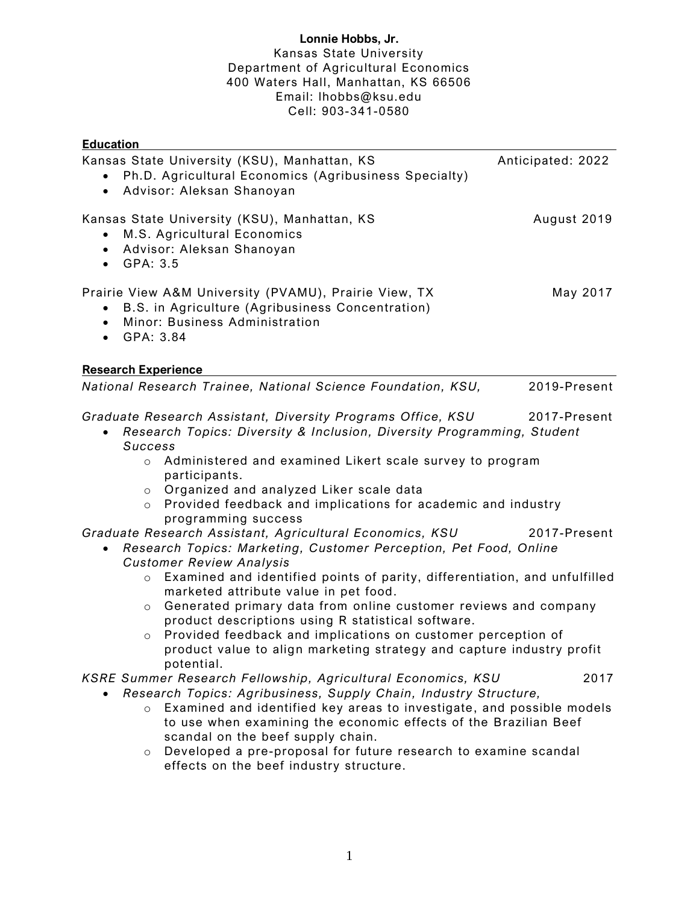# **Lonnie Hobbs, Jr.** Kansas State University Department of Agricultural Economics 400 Waters Hall, Manhattan, KS 66506 Email: lhobbs@ksu.edu Cell: 903-341-0580

| <b>Education</b>                                                                                                                                                                                                                                                                                                                                                                                                                                                     |                   |
|----------------------------------------------------------------------------------------------------------------------------------------------------------------------------------------------------------------------------------------------------------------------------------------------------------------------------------------------------------------------------------------------------------------------------------------------------------------------|-------------------|
| Kansas State University (KSU), Manhattan, KS<br>Ph.D. Agricultural Economics (Agribusiness Specialty)<br>Advisor: Aleksan Shanoyan<br>$\bullet$                                                                                                                                                                                                                                                                                                                      | Anticipated: 2022 |
| Kansas State University (KSU), Manhattan, KS<br>M.S. Agricultural Economics<br>$\bullet$<br>Advisor: Aleksan Shanoyan<br>$\bullet$<br>$\bullet$ GPA: 3.5                                                                                                                                                                                                                                                                                                             | August 2019       |
| Prairie View A&M University (PVAMU), Prairie View, TX<br>B.S. in Agriculture (Agribusiness Concentration)<br>Minor: Business Administration<br>$\bullet$<br>GPA: 3.84<br>$\bullet$                                                                                                                                                                                                                                                                                   | May 2017          |
| <b>Research Experience</b>                                                                                                                                                                                                                                                                                                                                                                                                                                           |                   |
| National Research Trainee, National Science Foundation, KSU,                                                                                                                                                                                                                                                                                                                                                                                                         | 2019-Present      |
| Graduate Research Assistant, Diversity Programs Office, KSU<br>Research Topics: Diversity & Inclusion, Diversity Programming, Student<br><b>Success</b><br>Administered and examined Likert scale survey to program<br>$\circ$<br>participants.<br>Organized and analyzed Liker scale data<br>$\circ$<br>Provided feedback and implications for academic and industry<br>$\circ$<br>programming success                                                              | 2017-Present      |
| Graduate Research Assistant, Agricultural Economics, KSU<br>Research Topics: Marketing, Customer Perception, Pet Food, Online<br>$\bullet$<br><b>Customer Review Analysis</b>                                                                                                                                                                                                                                                                                        | 2017-Present      |
| Examined and identified points of parity, differentiation, and unfulfilled<br>$\circ$<br>marketed attribute value in pet food.<br>Generated primary data from online customer reviews and company<br>$\circ$<br>product descriptions using R statistical software.<br>Provided feedback and implications on customer perception of<br>$\circ$<br>product value to align marketing strategy and capture industry profit                                               |                   |
| potential.<br>KSRE Summer Research Fellowship, Agricultural Economics, KSU<br>Research Topics: Agribusiness, Supply Chain, Industry Structure,<br>Examined and identified key areas to investigate, and possible models<br>$\circ$<br>to use when examining the economic effects of the Brazilian Beef<br>scandal on the beef supply chain.<br>Developed a pre-proposal for future research to examine scandal<br>$\circ$<br>effects on the beef industry structure. | 2017              |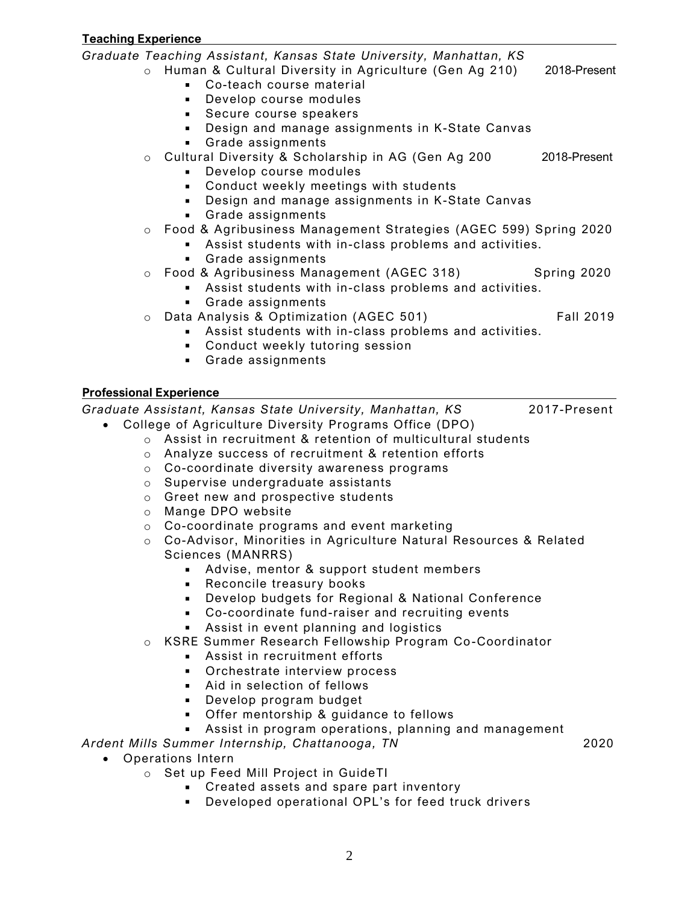**Teaching Experience** *Graduate Teaching Assistant, Kansas State University, Manhattan, KS* o Human & Cultural Diversity in Agriculture (Gen Ag 210) 2018-Present Co-teach course material **Develop course modules** Secure course speakers Design and manage assignments in K-State Canvas Grade assignments o Cultural Diversity & Scholarship in AG (Gen Ag 200 2018-Present **Develop course modules Conduct weekly meetings with students** Design and manage assignments in K-State Canvas Grade assignments o Food & Agribusiness Management Strategies (AGEC 599) Spring 2020 Assist students with in-class problems and activities. Grade assignments o Food & Agribusiness Management (AGEC 318) Spring 2020 Assist students with in-class problems and activities. Grade assignments o Data Analysis & Optimization (AGEC 501) Fall 2019 Assist students with in-class problems and activities. **Conduct weekly tutoring session** Grade assignments **Professional Experience** *Graduate Assistant, Kansas State University, Manhattan, KS* 2017-Present • College of Agriculture Diversity Programs Office (DPO) o Assist in recruitment & retention of multicultural students o Analyze success of recruitment & retention efforts o Co-coordinate diversity awareness programs o Supervise undergraduate assistants o Greet new and prospective students

- o Mange DPO website
- o Co-coordinate programs and event marketing
- o Co-Advisor, Minorities in Agriculture Natural Resources & Related Sciences (MANRRS)
	- Advise, mentor & support student members
	- **Reconcile treasury books**
	- Develop budgets for Regional & National Conference
	- Co-coordinate fund-raiser and recruiting events
	- Assist in event planning and logistics
- o KSRE Summer Research Fellowship Program Co-Coordinator
	- Assist in recruitment efforts
	- **Dianager Christer Contact Process**
	- Aid in selection of fellows
	- **Develop program budget**
	- **Offer mentorship & guidance to fellows**
	- **Assist in program operations, planning and management**

*Ardent Mills Summer Internship, Chattanooga, TN* 2020

- Operations Intern
	- o Set up Feed Mill Project in GuideTI
		- **Created assets and spare part inventory**
		- **Developed operational OPL's for feed truck drivers**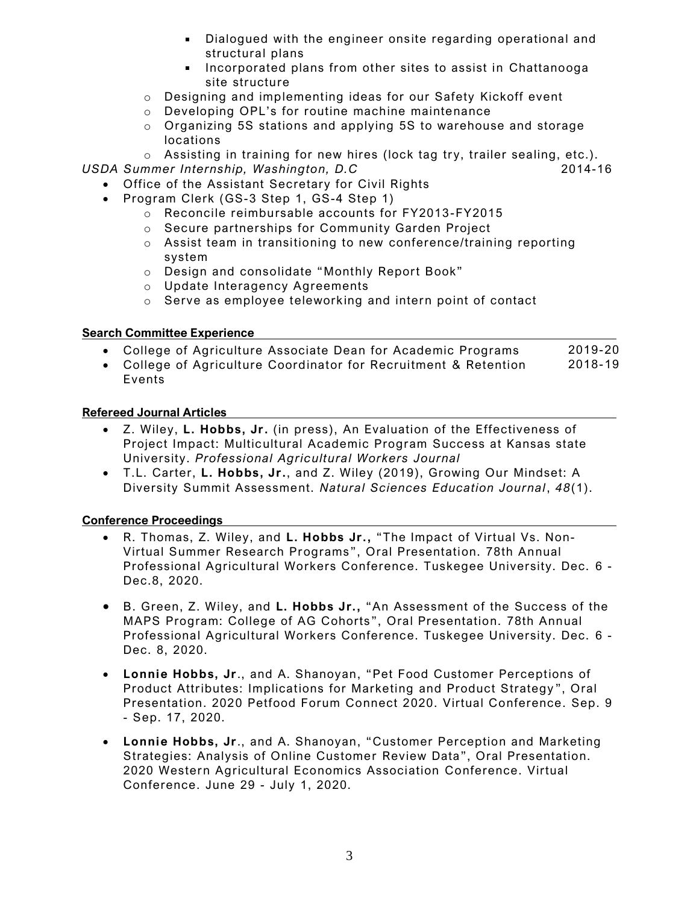- Dialogued with the engineer onsite regarding operational and structural plans
- **Incorporated plans from other sites to assist in Chattanooga** site structure
- o Designing and implementing ideas for our Safety Kickoff event
- o Developing OPL's for routine machine maintenance
- o Organizing 5S stations and applying 5S to warehouse and storage locations
- $\circ$  Assisting in training for new hires (lock tag try, trailer sealing, etc.).
- USDA Summer Internship, Washington, D.C 2014-16
	- Office of the Assistant Secretary for Civil Rights
		- Program Clerk (GS-3 Step 1, GS-4 Step 1)
			- o Reconcile reimbursable accounts for FY2013-FY2015
			- o Secure partnerships for Community Garden Project
			- o Assist team in transitioning to new conference/training reporting system
			- o Design and consolidate "Monthly Report Book"
			- o Update Interagency Agreements
			- o Serve as employee telework ing and intern point of contact

## **Search Committee Experience**

- College of Agriculture Associate Dean for Academic Programs 2019-20
- College of Agriculture Coordinator for Recruitment & Retention Events 2018-19

## **Refereed Journal Articles**

- Z. Wiley, **L. Hobbs, Jr .** (in press), An Evaluation of the Effectiveness of Project Impact: Multicultural Academic Program Success at Kansas state University. *Professional Agricultural Workers Journal*
- T.L. Carter, **L. Hobbs, Jr.**, and Z. Wiley (2019), Growing Our Mindset: A Diversity Summit Assessment. *Natural Sciences Education Journal*, *48*(1).

### **Conference Proceedings**

- R. Thomas, Z. Wiley, and **L. Hobbs Jr.,** "The Impact of Virtual Vs. Non-Virtual Summer Research Programs ", Oral Presentation. 78th Annual Professional Agricultural Workers Conference. Tuskegee University. Dec. 6 - Dec.8, 2020.
- B. Green, Z. Wiley, and **L. Hobbs Jr.,** "An Assessment of the Success of the MAPS Program: College of AG Cohorts ", Oral Presentation. 78th Annual Professional Agricultural Workers Conference. Tuskegee University. Dec. 6 - Dec. 8, 2020.
- **Lonnie Hobbs, Jr** ., and A. Shanoyan, "Pet Food Customer Perceptions of Product Attributes: Implications for Marketing and Product Strategy ", Oral Presentation. 2020 Petfood Forum Connect 2020. Virtual Conference. Sep. 9 - Sep. 17, 2020.
- **Lonnie Hobbs, Jr** ., and A. Shanoyan, "Customer Perception and Marketing Strategies: Analysis of Online Customer Review Data", Oral Presentation. 2020 Western Agricultural Economics Association Conference. Virtual Conference. June 29 - July 1, 2020.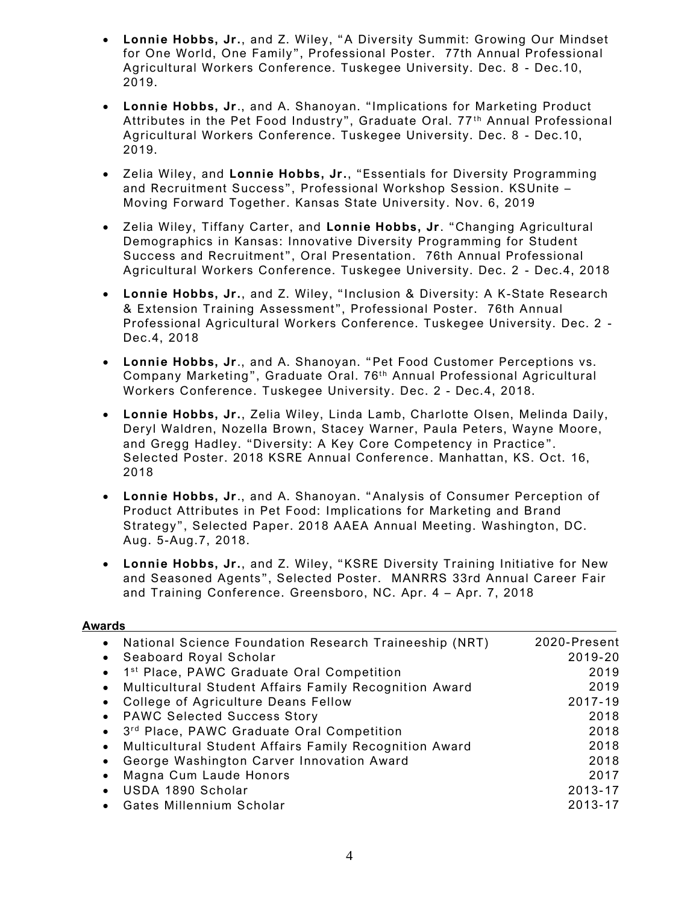- **Lonnie Hobbs, Jr.**, and Z. Wiley, "A Diversity Summit: Growing Our Mindset for One World, One Family", Professional Poster. 77th Annual Professional Agricultural Workers Conference. Tuskegee University. Dec. 8 - Dec.10, 2019.
- **Lonnie Hobbs, Jr** ., and A. Shanoyan. "Implications for Marketing Product Attributes in the Pet Food Industry", Graduate Oral. 77<sup>th</sup> Annual Professional Agricultural Workers Conference. Tuskegee University. Dec. 8 - Dec.10, 2019.
- Zelia Wiley, and **Lonnie Hobbs, Jr.**, "Essentials for Diversity Programming and Recruitment Success", Professional Workshop Session. KSUnite – Moving Forward Together. Kansas State University. Nov. 6, 2019
- Zelia Wiley, Tiffany Carter, and **Lonnie Hobbs, Jr** . "Changing Agricultural Demographics in Kansas: Innovative Diversity Programming for Student Success and Recruitment", Oral Presentation. 76th Annual Professional Agricultural Workers Conference. Tuskegee University. Dec. 2 - Dec.4, 2018
- **Lonnie Hobbs, Jr.**, and Z. Wiley, " Inclusion & Diversity: A K-State Research & Extension Training Assessment", Professional Poster. 76th Annual Professional Agricultural Workers Conference. Tuskegee University. Dec. 2 - Dec.4, 2018
- **Lonnie Hobbs, Jr** ., and A. Shanoyan. "Pet Food Customer Perceptions vs. Company Marketing", Graduate Oral. 76<sup>th</sup> Annual Professional Agricultural Workers Conference. Tuskegee University. Dec. 2 - Dec.4, 2018.
- **Lonnie Hobbs, Jr.**, Zelia Wiley, Linda Lamb, Charlotte Olsen, Melinda Daily, Deryl Waldren, Nozella Brown, Stacey Warner, Paula Peters, Wayne Moore, and Gregg Hadley. "Diversity: A Key Core Competency in Practice". Selected Poster. 2018 KSRE Annual Conference . Manhattan, KS. Oct. 16, 2018
- **Lonnie Hobbs, Jr** ., and A. Shanoyan. "Analysis of Consumer Perception of Product Attributes in Pet Food: Implications for Marketing and Brand Strategy", Selected Paper. 2018 AAEA Annual Meeting. Washington, DC. Aug. 5-Aug.7, 2018.
- **Lonnie Hobbs, Jr.**, and Z. Wiley, "KSRE Diversity Training Initiative for New and Seasoned Agents", Selected Poster. MANRRS 33rd Annual Career Fair and Training Conference. Greensboro, NC. Apr. 4 – Apr. 7, 2018

### **Awards**

|           | National Science Foundation Research Traineeship (NRT)   | 2020-Present |
|-----------|----------------------------------------------------------|--------------|
|           | • Seaboard Royal Scholar                                 | 2019-20      |
|           | • 1 <sup>st</sup> Place, PAWC Graduate Oral Competition  | 2019         |
|           | • Multicultural Student Affairs Family Recognition Award | 2019         |
|           | • College of Agriculture Deans Fellow                    | 2017-19      |
|           | • PAWC Selected Success Story                            | 2018         |
|           | • 3rd Place, PAWC Graduate Oral Competition              | 2018         |
|           | • Multicultural Student Affairs Family Recognition Award | 2018         |
|           | George Washington Carver Innovation Award                | 2018         |
| $\bullet$ | Magna Cum Laude Honors                                   | 2017         |
|           | USDA 1890 Scholar                                        | 2013-17      |
|           | Gates Millennium Scholar                                 | 2013-17      |